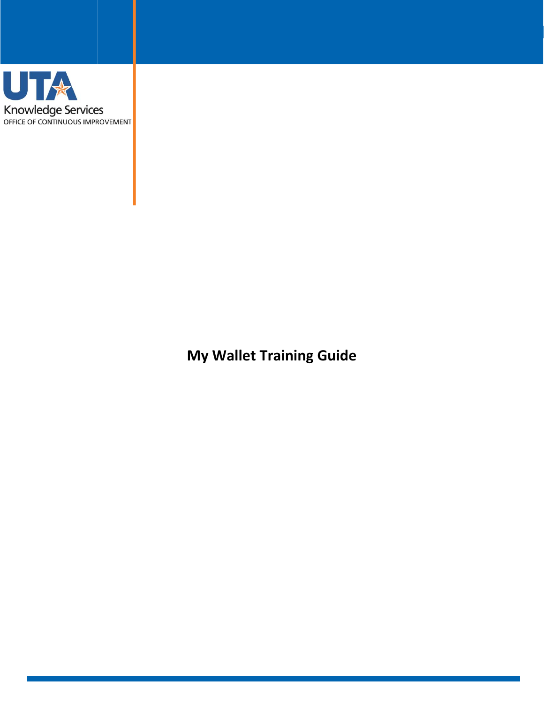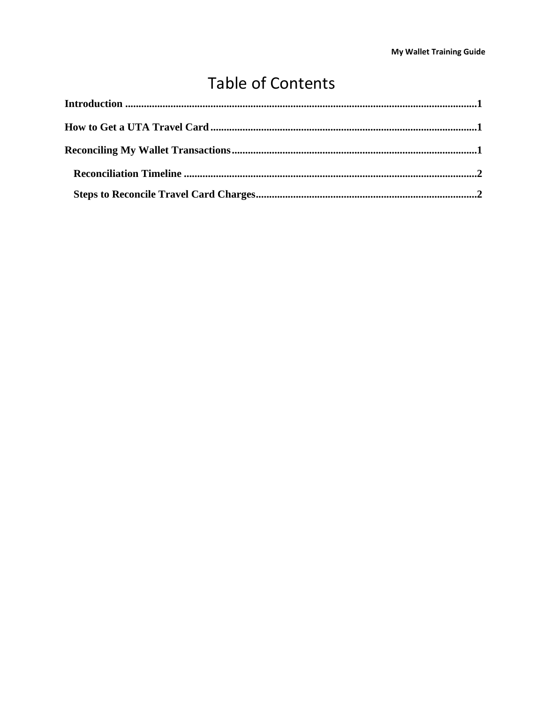# **Table of Contents**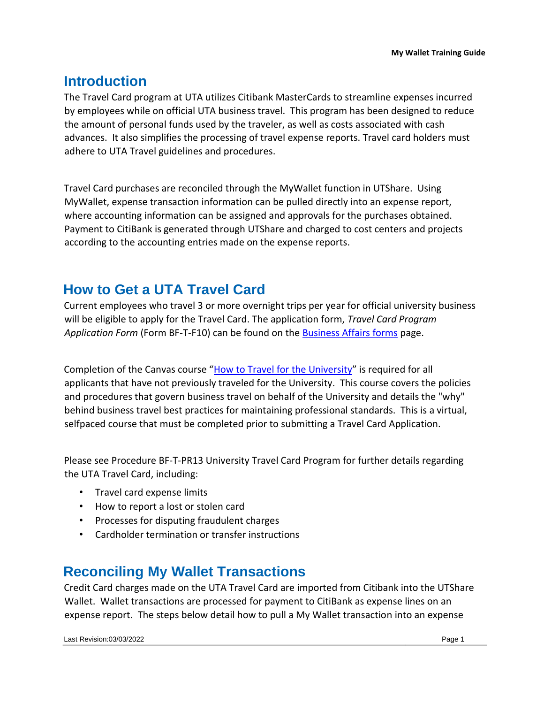# <span id="page-2-0"></span>**Introduction**

The Travel Card program at UTA utilizes Citibank MasterCards to streamline expenses incurred by employees while on official UTA business travel. This program has been designed to reduce the amount of personal funds used by the traveler, as well as costs associated with cash advances. It also simplifies the processing of travel expense reports. Travel card holders must adhere to UTA Travel guidelines and procedures.

Travel Card purchases are reconciled through the MyWallet function in UTShare. Using MyWallet, expense transaction information can be pulled directly into an expense report, where accounting information can be assigned and approvals for the purchases obtained. Payment to CitiBank is generated through UTShare and charged to cost centers and projects according to the accounting entries made on the expense reports.

# <span id="page-2-1"></span>**How to Get a UTA Travel Card**

Current employees who travel 3 or more overnight trips per year for official university business will be eligible to apply for the Travel Card. The application form, *Travel Card Program Application Form* (Form BF-T-F10) can be found on the [Business Affairs forms](https://resources.uta.edu/business-affairs/forms/index.php) [p](https://resources.uta.edu/business-affairs/forms/index.php)age.

Completion of the Canvas course "[How to Travel for the University](https://uta.instructure.com/enroll/M9HDBL)["](https://uta.instructure.com/enroll/M9HDBL) is required for all applicants that have not previously traveled for the University. This course covers the policies and procedures that govern business travel on behalf of the University and details the "why" behind business travel best practices for maintaining professional standards. This is a virtual, selfpaced course that must be completed prior to submitting a Travel Card Application.

Please see Procedure BF-T-PR13 University Travel Card Program for further details regarding the UTA Travel Card, including:

- Travel card expense limits
- How to report a lost or stolen card
- Processes for disputing fraudulent charges
- Cardholder termination or transfer instructions

## <span id="page-2-2"></span>**Reconciling My Wallet Transactions**

Credit Card charges made on the UTA Travel Card are imported from Citibank into the UTShare Wallet. Wallet transactions are processed for payment to CitiBank as expense lines on an expense report. The steps below detail how to pull a My Wallet transaction into an expense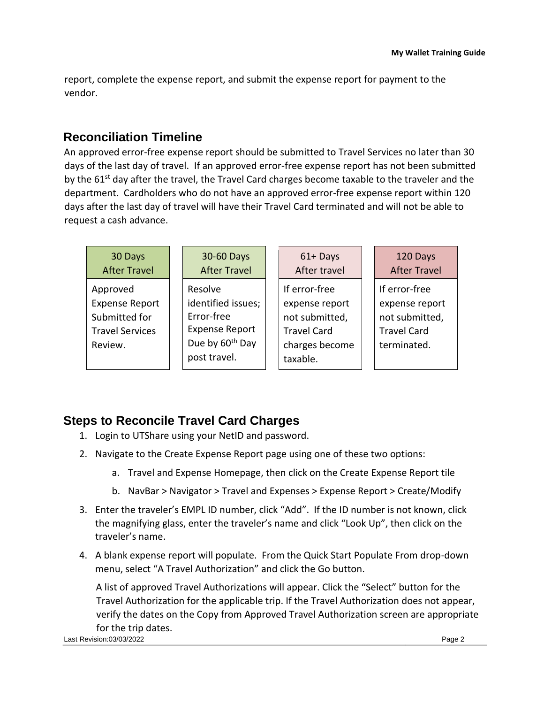report, complete the expense report, and submit the expense report for payment to the vendor.

### <span id="page-3-0"></span>**Reconciliation Timeline**

An approved error-free expense report should be submitted to Travel Services no later than 30 days of the last day of travel. If an approved error-free expense report has not been submitted by the 61<sup>st</sup> day after the travel, the Travel Card charges become taxable to the traveler and the department. Cardholders who do not have an approved error-free expense report within 120 days after the last day of travel will have their Travel Card terminated and will not be able to request a cash advance.

| 30 Days                                                                                 | 30-60 Days                                                                                                          | $61 +$ Days                                                                                           | 120 Days                                                                               |
|-----------------------------------------------------------------------------------------|---------------------------------------------------------------------------------------------------------------------|-------------------------------------------------------------------------------------------------------|----------------------------------------------------------------------------------------|
| <b>After Travel</b>                                                                     | <b>After Travel</b>                                                                                                 | After travel                                                                                          | <b>After Travel</b>                                                                    |
| Approved<br><b>Expense Report</b><br>Submitted for<br><b>Travel Services</b><br>Review. | Resolve<br>identified issues;<br>Error-free<br><b>Expense Report</b><br>Due by 60 <sup>th</sup> Day<br>post travel. | If error-free<br>expense report<br>not submitted,<br><b>Travel Card</b><br>charges become<br>taxable. | If error-free<br>expense report<br>not submitted,<br><b>Travel Card</b><br>terminated. |

### <span id="page-3-1"></span>**Steps to Reconcile Travel Card Charges**

- 1. Login to UTShare using your NetID and password.
- 2. Navigate to the Create Expense Report page using one of these two options:
	- a. Travel and Expense Homepage, then click on the Create Expense Report tile
	- b. NavBar > Navigator > Travel and Expenses > Expense Report > Create/Modify
- 3. Enter the traveler's EMPL ID number, click "Add". If the ID number is not known, click the magnifying glass, enter the traveler's name and click "Look Up", then click on the traveler's name.
- 4. A blank expense report will populate. From the Quick Start Populate From drop-down menu, select "A Travel Authorization" and click the Go button.

A list of approved Travel Authorizations will appear. Click the "Select" button for the Travel Authorization for the applicable trip. If the Travel Authorization does not appear, verify the dates on the Copy from Approved Travel Authorization screen are appropriate for the trip dates.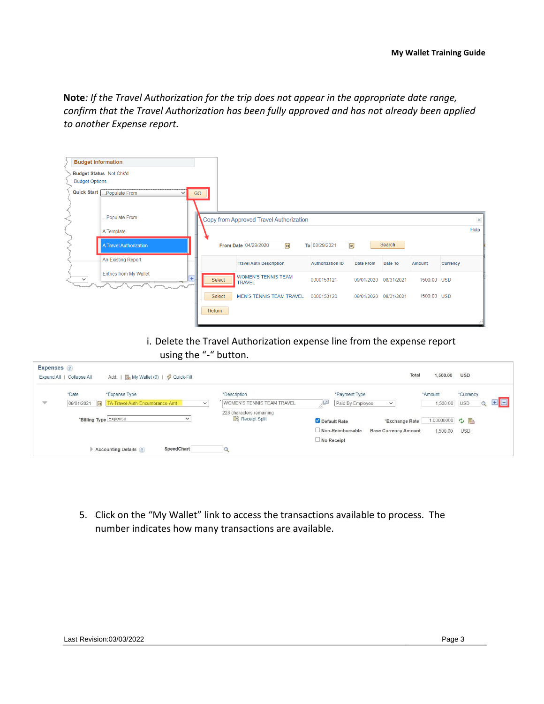**Note***: If the Travel Authorization for the trip does not appear in the appropriate date range, confirm that the Travel Authorization has been fully approved and has not already been applied to another Expense report.* 

| <b>Budget Information</b> |                                                 |    |        |                                             |                         |                       |            |             |          |          |
|---------------------------|-------------------------------------------------|----|--------|---------------------------------------------|-------------------------|-----------------------|------------|-------------|----------|----------|
| <b>Budget Options</b>     | Budget Status Not Chk'd                         |    |        |                                             |                         |                       |            |             |          |          |
| Quick Start               | .Populate From<br>$\check{~}$                   | GO |        |                                             |                         |                       |            |             |          |          |
|                           | Populate From                                   |    |        | Copy from Approved Travel Authorization     |                         |                       |            |             |          | $\times$ |
|                           | A Template                                      |    |        |                                             |                         |                       |            |             |          | Help     |
|                           | <b>A Travel Authorization</b>                   |    |        | From Date 04/29/2020<br> H                  | To 08/29/2021<br>ÞŪ     |                       | Search     |             |          |          |
|                           | <b>An Existing Report</b>                       |    |        | <b>Travel Auth Description</b>              | <b>Authorization ID</b> | Date From             | Date To    | Amount      | Currency |          |
| $\checkmark$              | <b>Entries from My Wallet</b><br>$\overline{+}$ |    | Select | <b>WOMEN'S TENNIS TEAM</b><br><b>TRAVEL</b> | 0000153121              | 09/01/2020            | 08/31/2021 | 1500.00 USD |          |          |
|                           |                                                 |    | Select | <b>MEN'S TENNIS TEAM TRAVEL</b>             | 0000153120              | 09/01/2020 08/31/2021 |            | 1500.00 USD |          |          |
|                           |                                                 |    | Return |                                             |                         |                       |            |             |          | . 11     |

i. Delete the Travel Authorization expense line from the expense report using the "-" button.

| Expenses ?               |                           |                                                                  |                                                      |                                                                    |            |
|--------------------------|---------------------------|------------------------------------------------------------------|------------------------------------------------------|--------------------------------------------------------------------|------------|
|                          | Expand All   Collapse All | Add:   Ally Wallet (0)   多 Quick-Fill                            |                                                      | Total<br>1,500.00                                                  | <b>USD</b> |
|                          | *Date                     | *Expense Type                                                    | *Description                                         | *Payment Type<br>*Amount                                           | *Currency  |
| $\overline{\phantom{a}}$ |                           | 09/01/2021   31   TA-Travel-Auth-Encumbrance-Amt<br>$\checkmark$ | WOMEN'S TENNIS TEAM TRAVEL                           | łЛ<br>1,500.00<br>Paid By Employee<br>$\checkmark$                 | <b>USD</b> |
|                          | *Billing Type Expense     | $\checkmark$                                                     | 228 characters remaining<br><b>Big</b> Receipt Split | 1.00000000 ウ<br>Default Rate<br>"Exchange Rate                     |            |
|                          |                           |                                                                  |                                                      | $\Box$ Non-Reimbursable<br><b>Base Currency Amount</b><br>1,500.00 | <b>USD</b> |
|                          |                           |                                                                  |                                                      | $\Box$ No Receipt                                                  |            |
|                          |                           | SpeedChart<br><b>Accounting Details ?</b>                        |                                                      |                                                                    |            |

5. Click on the "My Wallet" link to access the transactions available to process. The number indicates how many transactions are available.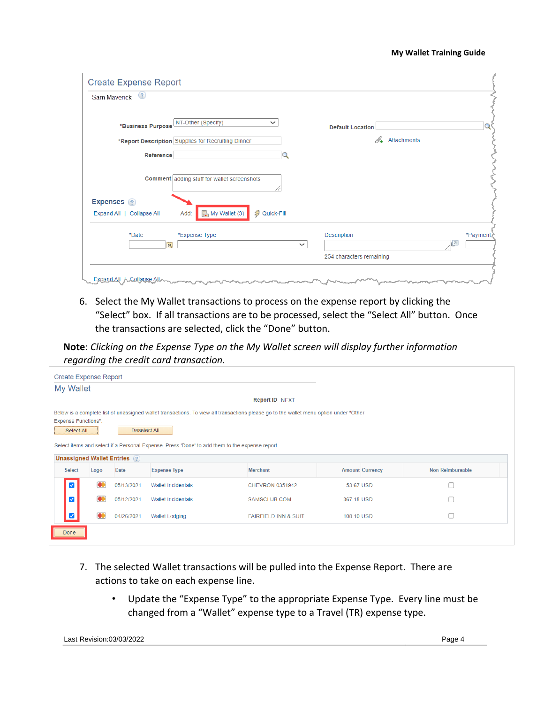| <b>Default Location</b>                 |          |
|-----------------------------------------|----------|
| D-<br>Attachments                       |          |
|                                         |          |
|                                         |          |
|                                         |          |
|                                         |          |
| Description<br>$\overline{\phantom{a}}$ | *Payment |
| 254 characters remaining                |          |
|                                         |          |

6. Select the My Wallet transactions to process on the expense report by clicking the "Select" box. If all transactions are to be processed, select the "Select All" button. Once the transactions are selected, click the "Done" button.

**Note**: *Clicking on the Expense Type on the My Wallet screen will display further information regarding the credit card transaction.* 

| <b>Create Expense Report</b> |                                                                                                                                                                                                   |                             |                                                                                                |                        |            |                        |                  |  |  |
|------------------------------|---------------------------------------------------------------------------------------------------------------------------------------------------------------------------------------------------|-----------------------------|------------------------------------------------------------------------------------------------|------------------------|------------|------------------------|------------------|--|--|
| My Wallet                    |                                                                                                                                                                                                   |                             |                                                                                                |                        |            |                        |                  |  |  |
| Report ID NEXT               |                                                                                                                                                                                                   |                             |                                                                                                |                        |            |                        |                  |  |  |
|                              | Below is a complete list of unassigned wallet transactions. To view all transactions please go to the wallet menu option under "Other<br><b>Expense Functions".</b><br>Deselect All<br>Select All |                             |                                                                                                |                        |            |                        |                  |  |  |
|                              |                                                                                                                                                                                                   | Unassigned Wallet Entries ? | Select items and select if a Personal Expense. Press 'Done' to add them to the expense report. |                        |            |                        |                  |  |  |
| <b>Select</b>                | Logo                                                                                                                                                                                              | Date                        | <b>Expense Type</b>                                                                            | <b>Merchant</b>        |            | <b>Amount Currency</b> | Non-Reimbursable |  |  |
|                              |                                                                                                                                                                                                   |                             |                                                                                                |                        |            |                        |                  |  |  |
|                              | 60                                                                                                                                                                                                | 05/13/2021                  | <b>Wallet Incidentals</b>                                                                      | <b>CHEVRON 0351942</b> | 53.67 USD  |                        |                  |  |  |
|                              |                                                                                                                                                                                                   | 05/12/2021                  | Wallet Incidentals                                                                             | SAMSCLUB.COM           | 367.18 USD |                        |                  |  |  |
|                              | œ<br>г<br>04/26/2021<br><b>FAIRFIELD INN &amp; SUIT</b><br>108.10 USD<br><b>Wallet Lodging</b>                                                                                                    |                             |                                                                                                |                        |            |                        |                  |  |  |
| Done                         |                                                                                                                                                                                                   |                             |                                                                                                |                        |            |                        |                  |  |  |

- 7. The selected Wallet transactions will be pulled into the Expense Report. There are actions to take on each expense line.
	- Update the "Expense Type" to the appropriate Expense Type. Every line must be changed from a "Wallet" expense type to a Travel (TR) expense type.

Last Revision:03/03/2022 Page 4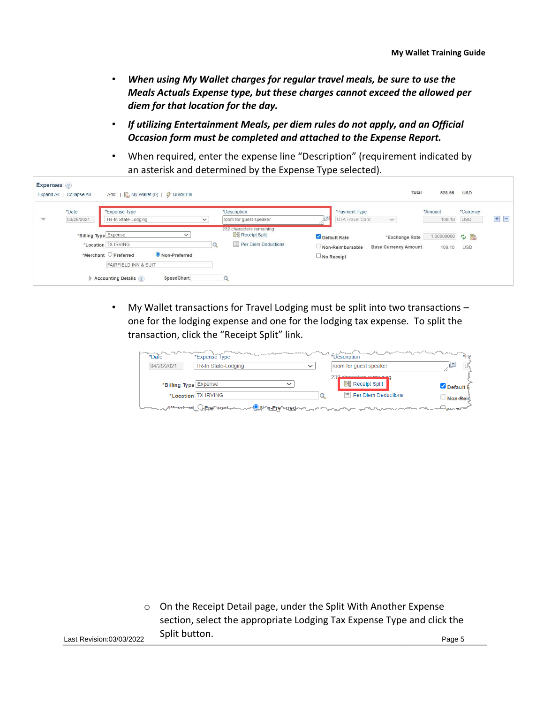- *When using My Wallet charges for regular travel meals, be sure to use the Meals Actuals Expense type, but these charges cannot exceed the allowed per diem for that location for the day.*
- *If utilizing Entertainment Meals, per diem rules do not apply, and an Official Occasion form must be completed and attached to the Expense Report.*
- When required, enter the expense line "Description" (requirement indicated by an asterisk and determined by the Expense Type selected).

| Expenses ?    | Expand All   Collapse All | Add:   All My Wallet (0)   多 Quick-Fill                                                                                                               |                                                                                          |                                                                                                 | Total<br>528.95        | <b>USD</b>              |     |
|---------------|---------------------------|-------------------------------------------------------------------------------------------------------------------------------------------------------|------------------------------------------------------------------------------------------|-------------------------------------------------------------------------------------------------|------------------------|-------------------------|-----|
| $\mathcal{W}$ | *Date<br>04/26/2021       | *Expense Type<br>TR-In State-Lodging<br>$\checkmark$                                                                                                  | *Description<br>room for guest speaker                                                   | *Payment Type<br>UTA Travel Card<br>$\checkmark$                                                | *Amount<br>108.10      | *Currency<br><b>USD</b> | ÷ E |
|               | *Billing Type Expense     | $\check{ }$<br>*Location TX IRVING<br>Non-Preferred<br>*Merchant O Preferred<br><b>FAIRFIELD INN &amp; SUIT</b><br>Accounting Details 2<br>SpeedChart | 232 characters remaining<br><b>Ele</b> Receipt Split<br>$\mathbb{E}$ Per Diem Deductions | Default Rate<br>*Exchange Rate<br>Non-Reimbursable<br><b>Base Currency Amount</b><br>No Receipt | 1.00000000 ウ<br>108.10 | <b>USD</b>              |     |

• My Wallet transactions for Travel Lodging must be split into two transactions – one for the lodging expense and one for the lodging tax expense. To split the transaction, click the "Receipt Split" link.

| *Date                 | and a ser<br>*Expense Type                |              | *Description                                        | $*_{D}$      |
|-----------------------|-------------------------------------------|--------------|-----------------------------------------------------|--------------|
| 04/26/2021            | TR-In State-Lodging                       | $\checkmark$ | room for guest speaker                              | া⊉           |
| *Billing Type Expense | $\checkmark$                              |              | 232 shoresters remaining<br><b>He Receipt Split</b> | Default i    |
|                       | *Location TX IRVING                       |              | $\equiv$ Per Diem Deductions                        | Non-Rein     |
| <b>han-leant of</b>   | <b>J.Prentred.</b><br><b>AMA-Prepared</b> |              |                                                     | www.magazare |

Last Revision:03/03/2022 Page 5 o On the Receipt Detail page, under the Split With Another Expense section, select the appropriate Lodging Tax Expense Type and click the Split button.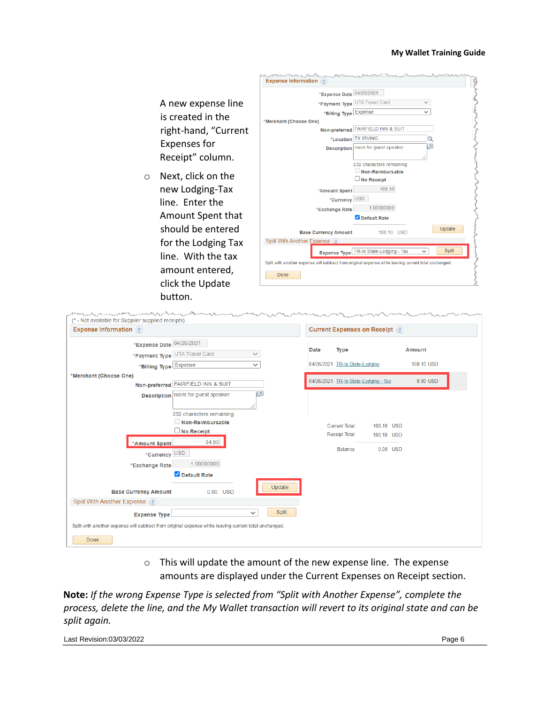

| <b>Expense Information</b> (?)                                                                        |                                      |                      | <b>Current Expenses on Receipt ?</b> |            |            |
|-------------------------------------------------------------------------------------------------------|--------------------------------------|----------------------|--------------------------------------|------------|------------|
| *Expense Date 04/26/2021                                                                              |                                      |                      |                                      |            |            |
| *Payment Type UTA Travel Card<br>$\checkmark$                                                         | Date                                 | Type                 |                                      |            | Amount     |
| *Billing Type Expense<br>$\checkmark$                                                                 | 04/26/2021 TR-In State-Lodging       |                      |                                      |            | 108.10 USD |
| *Merchant (Choose One)                                                                                |                                      |                      |                                      |            |            |
| Non-preferred FAIRFIELD INN & SUIT                                                                    | 04/26/2021 TR-In State-Lodging - Tax |                      |                                      |            | $0.00$ USD |
| $\sqrt{\pi}$<br>Description room for guest speaker                                                    |                                      |                      |                                      |            |            |
|                                                                                                       |                                      |                      |                                      |            |            |
| 232 characters remaining                                                                              |                                      |                      |                                      |            |            |
| Non-Reimbursable                                                                                      |                                      | <b>Current Total</b> | 108.10 USD                           |            |            |
| $\Box$ No Receipt                                                                                     |                                      | <b>Receipt Total</b> | 108.10 USD                           |            |            |
| 34.50<br>*Amount Spent                                                                                |                                      | Balance              |                                      | $0.00$ USD |            |
| *Currency USD                                                                                         |                                      |                      |                                      |            |            |
| 1.00000000<br>*Exchange Rate                                                                          |                                      |                      |                                      |            |            |
| Default Rate                                                                                          |                                      |                      |                                      |            |            |
| Update<br><b>Base Currency Amount</b><br>0.00 USD                                                     |                                      |                      |                                      |            |            |
| Split With Another Expense ?                                                                          |                                      |                      |                                      |            |            |
| Split<br>$\checkmark$<br><b>Expense Type</b>                                                          |                                      |                      |                                      |            |            |
| Split with another expense will subtract from original expense while leaving current total unchanged. |                                      |                      |                                      |            |            |

o This will update the amount of the new expense line. The expense amounts are displayed under the Current Expenses on Receipt section.

**Note:** *If the wrong Expense Type is selected from "Split with Another Expense", complete the process, delete the line, and the My Wallet transaction will revert to its original state and can be split again.* 

Last Revision:03/03/2022 Page 6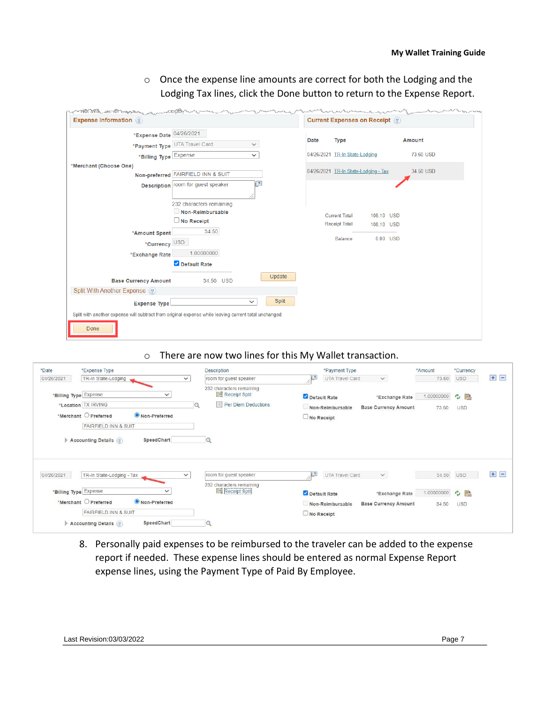o Once the expense line amounts are correct for both the Lodging and the Lodging Tax lines, click the Done button to return to the Expense Report.

| <b>Expense Information</b> (?)                                                                        |                                              |              |        |      |                                | <b>Current Expenses on Receipt</b> ? |          |               |
|-------------------------------------------------------------------------------------------------------|----------------------------------------------|--------------|--------|------|--------------------------------|--------------------------------------|----------|---------------|
| *Expense Date 04/26/2021                                                                              |                                              |              |        |      |                                |                                      |          |               |
|                                                                                                       | *Payment Type UTA Travel Card                | $\checkmark$ |        | Date | <b>Type</b>                    |                                      |          | <b>Amount</b> |
| *Billing Type Expense                                                                                 |                                              | $\checkmark$ |        |      | 04/26/2021 TR-In State-Lodging |                                      |          | 73.60 USD     |
| *Merchant (Choose One)                                                                                |                                              |              |        |      |                                |                                      |          |               |
|                                                                                                       | Non-preferred FAIRFIELD INN & SUIT           |              |        |      |                                | 04/26/2021 TR-In State-Lodging - Tax |          | 34.50 USD     |
|                                                                                                       | Description room for guest speaker           | $\sqrt{2}$   |        |      |                                |                                      |          |               |
|                                                                                                       |                                              |              |        |      |                                |                                      |          |               |
|                                                                                                       | 232 characters remaining<br>Non-Reimbursable |              |        |      |                                |                                      |          |               |
|                                                                                                       | $\Box$ No Receipt                            |              |        |      | <b>Current Total</b>           | 108.10 USD                           |          |               |
| *Amount Spent                                                                                         | 34.50                                        |              |        |      | <b>Receipt Total</b>           | 108.10 USD                           |          |               |
| *Currency USD                                                                                         |                                              |              |        |      | Balance                        |                                      | 0.00 USD |               |
| *Exchange Rate                                                                                        | 1.00000000                                   |              |        |      |                                |                                      |          |               |
|                                                                                                       | Default Rate                                 |              |        |      |                                |                                      |          |               |
|                                                                                                       |                                              |              |        |      |                                |                                      |          |               |
| <b>Base Currency Amount</b>                                                                           | 34.50 USD                                    |              | Update |      |                                |                                      |          |               |
| Split With Another Expense ?                                                                          |                                              |              |        |      |                                |                                      |          |               |
| <b>Expense Type!</b>                                                                                  |                                              | $\checkmark$ | Split  |      |                                |                                      |          |               |
| Split with another expense will subtract from original expense while leaving current total unchanged. |                                              |              |        |      |                                |                                      |          |               |
|                                                                                                       |                                              |              |        |      |                                |                                      |          |               |
| Done                                                                                                  |                                              |              |        |      |                                |                                      |          |               |

o There are now two lines for this My Wallet transaction.

| *Date                 | *Expense Type                                                                                                               |              | Description                                                                         | *Payment Type                                         |                                               | *Amount                 | *Currency         |                    |
|-----------------------|-----------------------------------------------------------------------------------------------------------------------------|--------------|-------------------------------------------------------------------------------------|-------------------------------------------------------|-----------------------------------------------|-------------------------|-------------------|--------------------|
| 04/26/2021            | TR-In State-Lodging                                                                                                         | $\checkmark$ | room for guest speaker                                                              | UTA Travel Card                                       | $\checkmark$                                  | 73.60                   | <b>USD</b>        | Đ<br>$\frac{1}{2}$ |
| *Billing Type Expense | $\check{~}$<br>*Location TX IRVING<br>Non-Preferred<br>$*$ Merchant $\bigcirc$ Preferred<br><b>FAIRFIELD INN &amp; SUIT</b> | Q            | 232 characters remaining<br><b>He</b> Receipt Split<br>$\equiv$ Per Diem Deductions | Default Rate<br>Non-Reimbursable<br>$\Box$ No Receipt | *Exchange Rate<br><b>Base Currency Amount</b> | 1.00000000 → 圖<br>73.60 | <b>USD</b>        |                    |
|                       | SpeedChart<br><b>Accounting Details</b> (?)                                                                                 |              |                                                                                     |                                                       |                                               |                         |                   |                    |
| 04/26/2021            | TR-In State-Lodging - Tax                                                                                                   | $\checkmark$ | room for guest speaker                                                              | $\sqrt{2}$<br>UTA Travel Card                         | $\checkmark$                                  | 34.50                   | <b>USD</b>        | 王国                 |
| *Billing Type Expense | $\checkmark$<br>Non-Preferred<br>$*$ Merchant $\bigcirc$ Preferred                                                          |              | 232 characters remaining<br><b>Big</b> Receipt Split                                | Default Rate<br>Non-Reimbursable                      | *Exchange Rate<br><b>Base Currency Amount</b> | 1.00000000<br>34.50     | ☆ 暑<br><b>USD</b> |                    |

8. Personally paid expenses to be reimbursed to the traveler can be added to the expense report if needed. These expense lines should be entered as normal Expense Report expense lines, using the Payment Type of Paid By Employee.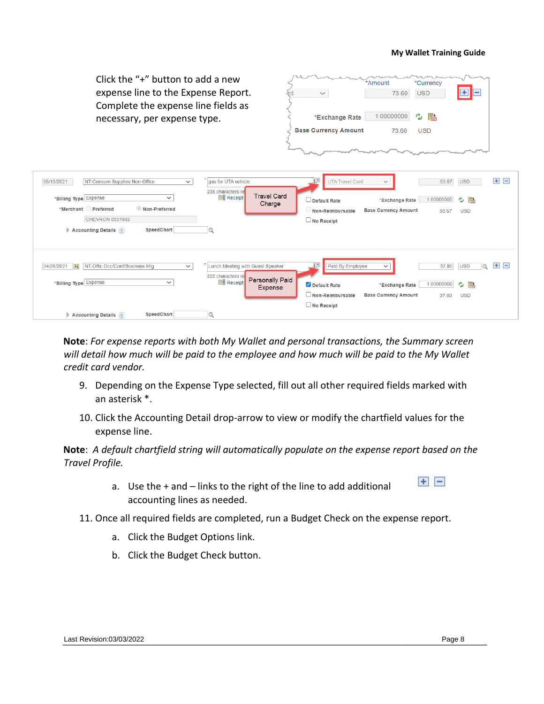Click the "+" button to add a new \*Currency \*<br>Amount expense line to the Expense Report.  $\overline{+}$  $=$ 73.60 **USD** Complete the expense line fields as \*Exchange Rate 1.00000000 ゆ 語 necessary, per expense type. **Base Currency Amount** 73.60 **USD**  $\sqrt{2}$ UTA Travel Card 05/13/2021 NT-Consum Supplies Non-Office gas for UTA vehicle 53.67 USD  $\mathbf{H}$   $\mathbf{H}$  $\checkmark$ 235 characters r **Travel Card** \*Billing Type Expense **B** Receip  $\checkmark$  $\Box$  Default Rate \*Exchange Rate 1.00000000 ウ 国 Charge \*Merchant Preferred Non-Preferred Non-Reimbursable **Base Currency Amount** 53.67 USD CHEVRON 0351942  $\n **No** Receipt\n$ Accounting Details ? SpeedChart  $\alpha$ 04/26/2021 |J | NT-Offic Occ/Conf/Business Mtg \* Lunch Meeting with Guest Speaker  $\sqrt{2}$ 37.80 USD  $\mathbb{Q}$  + - $\checkmark$ Paid By Employee  $\checkmark$ 222 characters re Personally Paid \*Billing Type Expense  $\checkmark$ **BH** Receipt Default Rate 1.00000000 ウ h \*Exchange Rate Expense  $\Box$  Non-Reimbursable **Base Currency Amount** 37.80 USD No Receipt SpeedChart Accounting Details ?  $\alpha$ 

**Note**: *For expense reports with both My Wallet and personal transactions, the Summary screen will detail how much will be paid to the employee and how much will be paid to the My Wallet credit card vendor.*

- 9. Depending on the Expense Type selected, fill out all other required fields marked with an asterisk \*.
- 10. Click the Accounting Detail drop-arrow to view or modify the chartfield values for the expense line.

**Note**: *A default chartfield string will automatically populate on the expense report based on the Travel Profile.*

- a. Use the  $+$  and  $-$  links to the right of the line to add additional accounting lines as needed.
- 11. Once all required fields are completed, run a Budget Check on the expense report.
	- a. Click the Budget Options link.
	- b. Click the Budget Check button.

 $+$   $-$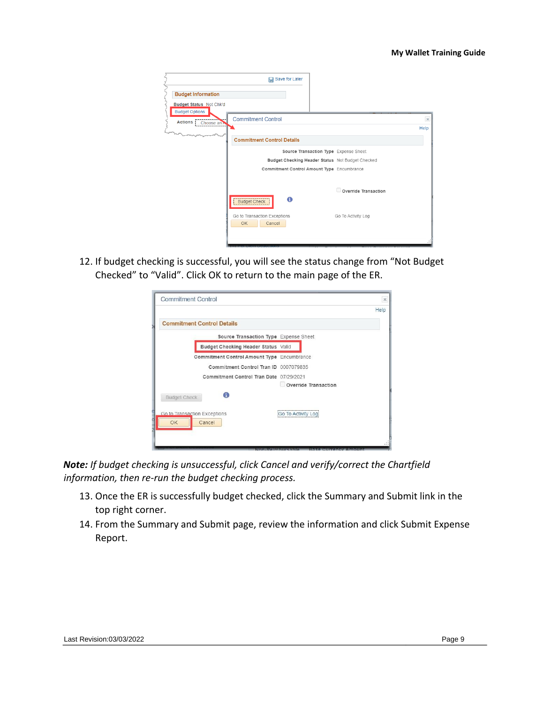|                                                  | <b>国</b> Save for Later                            |          |
|--------------------------------------------------|----------------------------------------------------|----------|
| <b>Budget Information</b>                        |                                                    |          |
| Budget Status Not Chk'd<br><b>Budget Options</b> |                                                    |          |
| Actions  <br>Choose an $\lambda$                 | <b>Commitment Control</b>                          | $\times$ |
|                                                  |                                                    | Help     |
|                                                  | <b>Commitment Control Details</b>                  |          |
|                                                  | Source Transaction Type Expense Sheet              |          |
|                                                  | Budget Checking Header Status Not Budget Checked   |          |
|                                                  | Commitment Control Amount Type Encumbrance         |          |
|                                                  |                                                    |          |
|                                                  | Override Transaction                               |          |
|                                                  | 0<br>Budget Check                                  |          |
|                                                  | Go to Transaction Exceptions<br>Go To Activity Log |          |
|                                                  | <b>OK</b><br>Cancel                                |          |
|                                                  |                                                    |          |

12. If budget checking is successful, you will see the status change from "Not Budget Checked" to "Valid". Click OK to return to the main page of the ER.

| <b>Commitment Control</b>          |                                            | $\boldsymbol{\times}$ |
|------------------------------------|--------------------------------------------|-----------------------|
|                                    |                                            | Help                  |
| <b>Commitment Control Details</b>  |                                            |                       |
|                                    | Source Transaction Type Expense Sheet      |                       |
|                                    | Budget Checking Header Status Valid        |                       |
|                                    | Commitment Control Amount Type Encumbrance |                       |
|                                    | Commitment Control Tran ID 0007079835      |                       |
|                                    | Commitment Control Tran Date 07/29/2021    |                       |
|                                    |                                            | Override Transaction  |
| <b>Budget Check</b>                | A                                          |                       |
| Go to Transaction Exceptions<br>OK | Cancel                                     | Go To Activity Loa    |
|                                    |                                            |                       |
|                                    |                                            |                       |

*Note: If budget checking is unsuccessful, click Cancel and verify/correct the Chartfield information, then re-run the budget checking process.* 

- 13. Once the ER is successfully budget checked, click the Summary and Submit link in the top right corner.
- 14. From the Summary and Submit page, review the information and click Submit Expense Report.